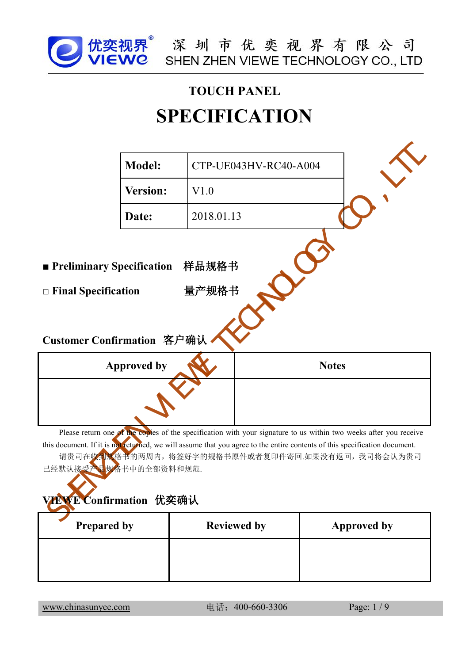

# **SPECIFICATION**

|                                                                |                    | <b>SPECIFICATION</b>                                                                                                                                                                                                                                                                                 |                    |  |
|----------------------------------------------------------------|--------------------|------------------------------------------------------------------------------------------------------------------------------------------------------------------------------------------------------------------------------------------------------------------------------------------------------|--------------------|--|
|                                                                | <b>Model:</b>      | CTP-UE043HV-RC40-A004                                                                                                                                                                                                                                                                                |                    |  |
|                                                                | <b>Version:</b>    | V1.0                                                                                                                                                                                                                                                                                                 |                    |  |
|                                                                | Date:              | 2018.01.13                                                                                                                                                                                                                                                                                           |                    |  |
| $\Box$ Final Specification                                     |                    | 量产规格书                                                                                                                                                                                                                                                                                                |                    |  |
| Customer Confirmation 客户确认                                     | <b>Approved by</b> |                                                                                                                                                                                                                                                                                                      | <b>Notes</b>       |  |
| 已经默认接受产品 <mark>规格</mark> 书中的全部资料和规范.<br>VEWE Confirmation 优奕确认 |                    | Please return one of the copies of the specification with your signature to us within two weeks after you receive<br>this document. If it is not returned, we will assume that you agree to the entire contents of this specification document.<br>请贵司在收到规格书的两周内, 将签好字的规格书原件或者复印件寄回.如果没有返回, 我司将会认为贵司 |                    |  |
| <b>Prepared by</b>                                             |                    | <b>Reviewed by</b>                                                                                                                                                                                                                                                                                   | <b>Approved by</b> |  |
|                                                                |                    |                                                                                                                                                                                                                                                                                                      |                    |  |

| 已经默认接受产品规格书中的全部资料和规范.<br>VEWE Confirmation 优奕确认 |                    |                    |
|-------------------------------------------------|--------------------|--------------------|
| <b>Prepared by</b>                              | <b>Reviewed by</b> | <b>Approved by</b> |
|                                                 |                    |                    |
|                                                 |                    |                    |
| www.chinasunyee.com                             | 电话: 400-660-3306   | Page: 1/9          |
|                                                 |                    |                    |
|                                                 |                    |                    |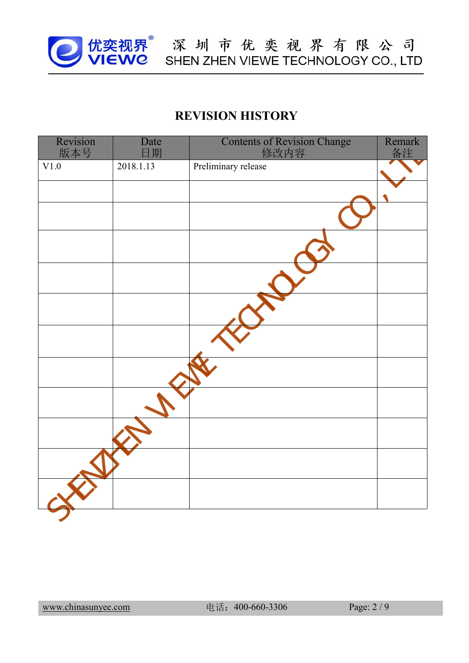

|                 |            | <b>REVISION HISTORY</b>                    |              |
|-----------------|------------|--------------------------------------------|--------------|
| Revision<br>版本号 | Date<br>日期 | <b>Contents of Revision Change</b><br>修改内容 | Remark<br>备注 |
| V1.0            | 2018.1.13  | Preliminary release                        |              |
|                 |            |                                            |              |
|                 |            |                                            |              |
|                 |            |                                            |              |
|                 |            |                                            |              |
|                 |            |                                            |              |
|                 |            |                                            |              |
|                 |            |                                            |              |
|                 |            |                                            |              |
|                 |            |                                            |              |
|                 |            |                                            |              |
|                 |            |                                            |              |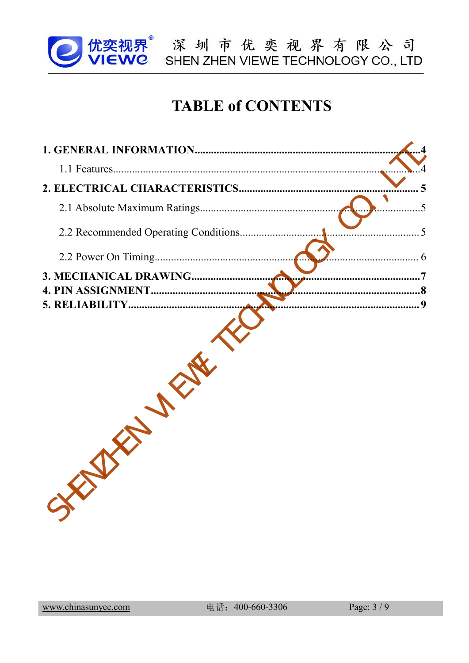

**J优奕视界** 深圳市优奕视界有限公司

## **TABLE of CONTENTS**

| 3. MECHANICAL DRAWING | .7 |
|-----------------------|----|
|                       |    |
|                       |    |
|                       |    |
|                       |    |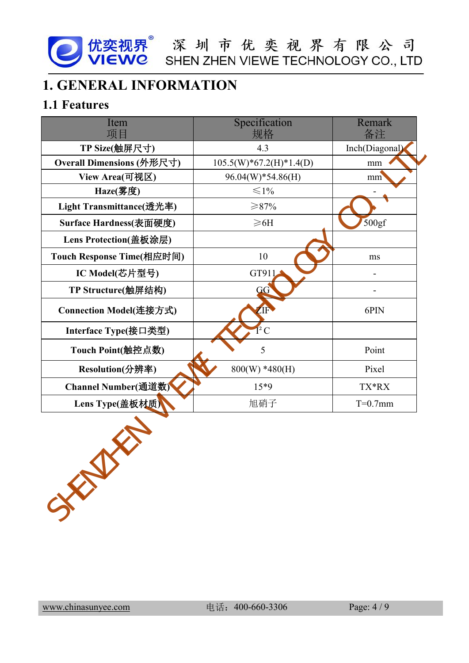<span id="page-3-1"></span><span id="page-3-0"></span>

| <b>1. GENERAL INFORMATION</b> | 优奕视界 <sup>®</sup> 深圳市优奕视界有限公司<br>  VIEWC SHEN ZHEN VIEWE TECHNOLOGY CO., LTD |                |
|-------------------------------|------------------------------------------------------------------------------|----------------|
| 1.1 Features                  |                                                                              |                |
| Item<br>项目                    | Specification<br>规格                                                          | Remark<br>备注   |
| TP Size(触屏尺寸)                 | 4.3                                                                          | Inch(Diagonal) |
| Overall Dimensions (外形尺寸)     | $105.5(W)*67.2(H)*1.4(D)$                                                    | mm             |
| View Area(可视区)                | $96.04(W)*54.86(H)$                                                          | mm             |
| Haze(雾度)                      | $\leq 1\%$                                                                   |                |
| Light Transmittance(透光率)      | ≥87%                                                                         |                |
| Surface Hardness(表面硬度)        | $\geq 6H$                                                                    | 500gf          |
| Lens Protection(盖板涂层)         |                                                                              |                |
| Touch Response Time(相应时间)     | 10                                                                           | ms             |
| IC Model(芯片型号)                | GT911                                                                        |                |
| TP Structure(触屏结构)            | GG                                                                           |                |
| Connection Model(连接方式)        | <b>AF</b>                                                                    | 6PIN           |
| Interface Type(接口类型)          | $1^2$ C                                                                      |                |
| Touch Point(触控点数)             | 5                                                                            | Point          |
| Resolution(分辨率)               | $800(W) * 480(H)$                                                            | Pixel          |
| Channel Number(通道数)           | $15*9$                                                                       | TX*RX          |
| Lens Type(盖板材质)               | 旭硝子                                                                          | $T=0.7$ mm     |
|                               |                                                                              |                |
|                               |                                                                              |                |

[www.chinasunyee.com](http://www.chinasunyee.com) 电话: 400-660-3306 Page: 4/9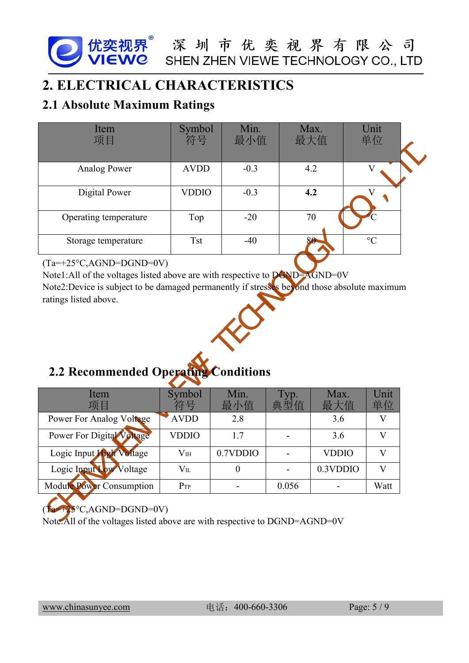<span id="page-4-0"></span>

| 优奕视界 深圳市优奕视界有限公司<br>VIEWC SHEN ZHEN VIEWE TECHNOLOGY CO., LTD                                                                                                                                                                                                     |                 |                |                          |              |                         |
|-------------------------------------------------------------------------------------------------------------------------------------------------------------------------------------------------------------------------------------------------------------------|-----------------|----------------|--------------------------|--------------|-------------------------|
| 2. ELECTRICAL CHARACTERISTICS                                                                                                                                                                                                                                     |                 |                |                          |              |                         |
| <b>2.1 Absolute Maximum Ratings</b>                                                                                                                                                                                                                               |                 |                |                          |              |                         |
| Item<br>项目                                                                                                                                                                                                                                                        | Symbol<br>符号    | Min.<br>最小值    |                          | Max.<br>最大值  | Unit<br>单位              |
| <b>Analog Power</b>                                                                                                                                                                                                                                               | <b>AVDD</b>     | $-0.3$         |                          | 4.2          | $\overline{\mathbf{V}}$ |
| Digital Power                                                                                                                                                                                                                                                     | <b>VDDIO</b>    | $-0.3$         |                          | 4.2          | $\overline{\mathbf{V}}$ |
| Operating temperature                                                                                                                                                                                                                                             | Top             | $-20$          |                          | 70           |                         |
| Storage temperature                                                                                                                                                                                                                                               | <b>Tst</b>      | $-40$          |                          | 80           | $\rm ^{\circ}C$         |
| $(Ta=+25\degree C, AGND=DGND=0V)$<br>Note1:All of the voltages listed above are with respective to $\overline{D6ND}$ $\overline{A}GND=0V$<br>Note2:Device is subject to be damaged permanently if stresses beyond those absolute maximum<br>ratings listed above. |                 |                |                          |              |                         |
| 2.2 Recommended Operating Conditions                                                                                                                                                                                                                              |                 |                |                          |              |                         |
| Item<br>项目                                                                                                                                                                                                                                                        | Symbol<br>符号    | Min.<br>最小值    | Typ.<br>典型值              | Max.<br>最大值  | Unit<br>单位              |
|                                                                                                                                                                                                                                                                   | <b>AVDD</b>     | 2.8            |                          | 3.6          | V                       |
| Power For Analog Voltage                                                                                                                                                                                                                                          |                 |                |                          |              |                         |
| Power For Digital Voltage                                                                                                                                                                                                                                         | <b>VDDIO</b>    | 1.7            |                          | 3.6          | V                       |
| Logic Input High Voltage                                                                                                                                                                                                                                          | V <sub>IH</sub> | 0.7VDDIO       | $\blacksquare$           | <b>VDDIO</b> | V                       |
| Logic Input Low Voltage                                                                                                                                                                                                                                           | $V_{IL}$        | $\overline{0}$ | $\overline{\phantom{0}}$ | 0.3VDDIO     | $\mathbf{V}$            |



| $1.0001.1$ m of the voltages holed above are what respective to $1.011$<br>Note2:Device is subject to be damaged permanently if stresses beyond those absolute maximum<br>ratings listed above. |                 |                          |                          |              |              |
|-------------------------------------------------------------------------------------------------------------------------------------------------------------------------------------------------|-----------------|--------------------------|--------------------------|--------------|--------------|
| 2.2 Recommended Operating Conditions                                                                                                                                                            |                 |                          |                          |              |              |
| Item<br>项目                                                                                                                                                                                      | Symbol<br>符号    | Min.<br>最小值              | Typ.<br>典型值              | Max.<br>最大值  | Unit<br>单位   |
| Power For Analog Voltage                                                                                                                                                                        | <b>AVDD</b>     | 2.8                      |                          | 3.6          | $\mathbf V$  |
| Power For Digital Voltage                                                                                                                                                                       | <b>VDDIO</b>    | 1.7                      |                          | 3.6          | V            |
| Logic Input High Voltage                                                                                                                                                                        | V <sub>IH</sub> | 0.7VDDIO                 | $\overline{\phantom{0}}$ | <b>VDDIO</b> | $\mathbf{V}$ |
| Logic Input Low Voltage                                                                                                                                                                         | $V_{\rm IL}$    | $\boldsymbol{0}$         | $\blacksquare$           | 0.3VDDIO     | $\mathbf{V}$ |
| Module Power Consumption                                                                                                                                                                        | $P_{TP}$        | $\overline{\phantom{a}}$ | 0.056                    |              | Watt         |
| $T_{\text{A}}$ $\rightarrow$ $25^{\circ}$ C, AGND=DGND=0V)<br>Note:All of the voltages listed above are with respective to DGND=AGND=0V                                                         |                 |                          |                          |              |              |
| www.chinasunyee.com                                                                                                                                                                             |                 | 电话: 400-660-3306         |                          |              | Page: 5/9    |
|                                                                                                                                                                                                 |                 |                          |                          |              |              |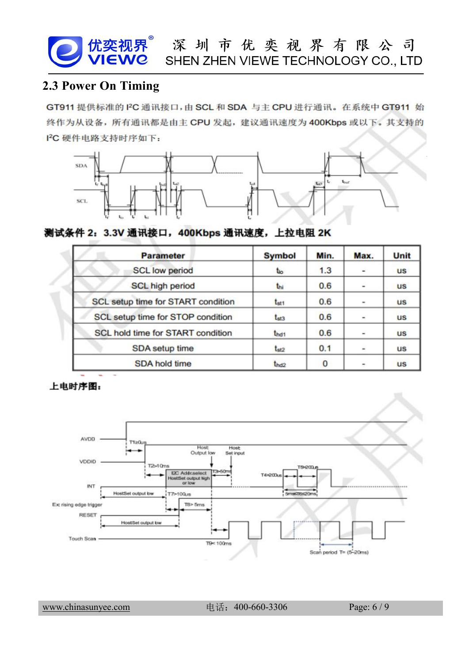**2.3 Power On Timing**<br> **2.3 Power On Timing**<br> **2.3 Power On Timing**<br> **2.3 Power On Timing**<br> **2.3 Power On Timing**<br> **2.3 Power On Timing**<br> **2.3 Power On Timing**<br> **2.3 Power On Timing**<br> **2.3 Power On Timing**<br> **2.3 Power On** 



| <b>Parameter</b>                   | <b>Symbol</b>    | Min. | Max.                         | Unit      |
|------------------------------------|------------------|------|------------------------------|-----------|
| <b>SCL low period</b>              | $t_{io}$         | 1.3  |                              | <b>us</b> |
| <b>SCL high period</b>             | thi              | 0.6  |                              | <b>us</b> |
| SCL setup time for START condition | t <sub>st1</sub> | 0.6  | $\qquad \qquad \blacksquare$ | <b>us</b> |
| SCL setup time for STOP condition  | $t_{st3}$        | 0.6  | ۰                            | <b>us</b> |
| SCL hold time for START condition  | thd1             | 0.6  |                              | <b>us</b> |
| SDA setup time                     | t <sub>st2</sub> | 0.1  | $\frac{1}{2}$                | <b>us</b> |
| <b>SDA hold time</b>               | t <sub>hd2</sub> | 0    |                              | <b>us</b> |

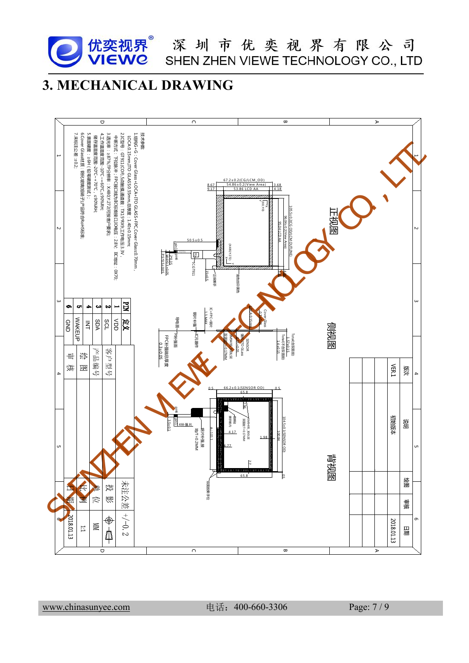<span id="page-6-0"></span>

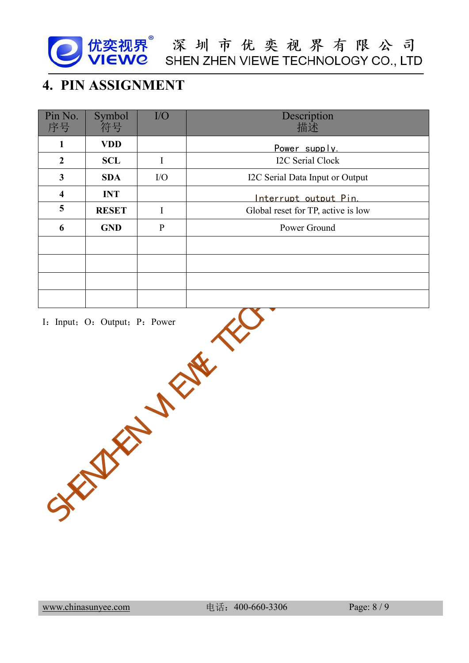

| Description<br>Symbol<br>I/O<br>符号<br>描述<br><b>VDD</b><br>$\mathbf{1}$<br>Power supply.<br>I2C Serial Clock<br>$\boldsymbol{2}$<br><b>SCL</b><br>$\mathbf I$<br>$\mathbf{3}$<br><b>SDA</b><br>I2C Serial Data Input or Output<br>$IO$<br><b>INT</b><br>$\overline{\mathbf{4}}$<br>Interrupt output Pin.<br>5<br>Global reset for TP, active is low<br><b>RESET</b><br>$\bf{I}$<br>Power Ground<br>$\mathbf{GND}$<br>$\, {\bf p}$ |                  | 4. PIN ASSIGNMENT |  |
|----------------------------------------------------------------------------------------------------------------------------------------------------------------------------------------------------------------------------------------------------------------------------------------------------------------------------------------------------------------------------------------------------------------------------------|------------------|-------------------|--|
|                                                                                                                                                                                                                                                                                                                                                                                                                                  | Pin No.<br>序号    |                   |  |
|                                                                                                                                                                                                                                                                                                                                                                                                                                  |                  |                   |  |
|                                                                                                                                                                                                                                                                                                                                                                                                                                  |                  |                   |  |
|                                                                                                                                                                                                                                                                                                                                                                                                                                  |                  |                   |  |
|                                                                                                                                                                                                                                                                                                                                                                                                                                  |                  |                   |  |
|                                                                                                                                                                                                                                                                                                                                                                                                                                  |                  |                   |  |
|                                                                                                                                                                                                                                                                                                                                                                                                                                  | $\boldsymbol{6}$ |                   |  |
|                                                                                                                                                                                                                                                                                                                                                                                                                                  |                  |                   |  |